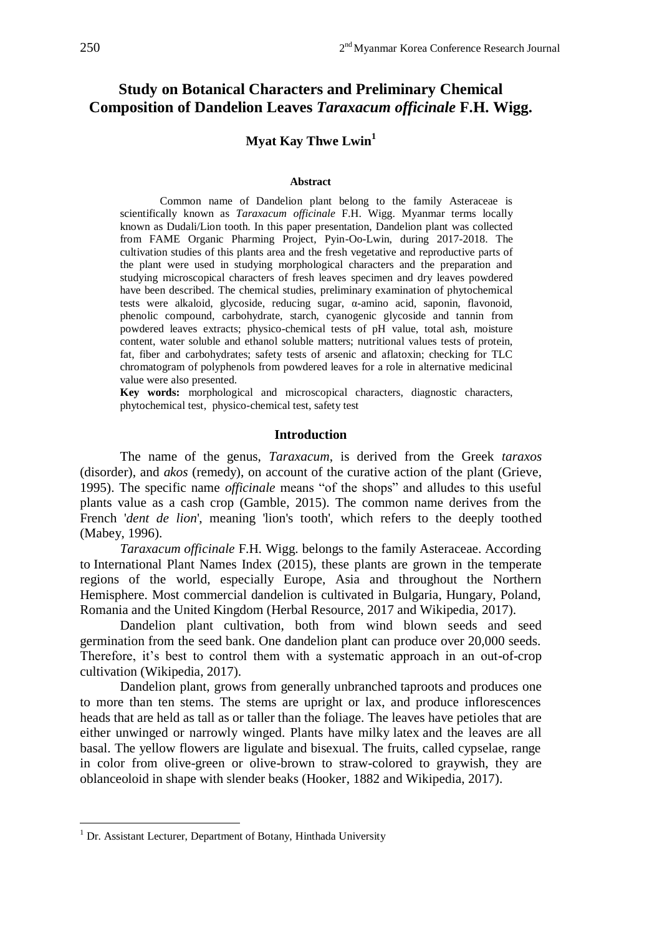# **Study on Botanical Characters and Preliminary Chemical Composition of Dandelion Leaves** *Taraxacum officinale* **F.H. Wigg.**

# **Myat Kay Thwe Lwin<sup>1</sup>**

#### **Abstract**

Common name of Dandelion plant belong to the family Asteraceae is scientifically known as *Taraxacum officinale* F.H. Wigg. Myanmar terms locally known as Dudali/Lion tooth. In this paper presentation, Dandelion plant was collected from FAME Organic Pharming Project, Pyin-Oo-Lwin, during 2017-2018. The cultivation studies of this plants area and the fresh vegetative and reproductive parts of the plant were used in studying morphological characters and the preparation and studying microscopical characters of fresh leaves specimen and dry leaves powdered have been described. The chemical studies, preliminary examination of phytochemical tests were alkaloid, glycoside, reducing sugar, α-amino acid, saponin, flavonoid, phenolic compound, carbohydrate, starch, cyanogenic glycoside and tannin from powdered leaves extracts; physico-chemical tests of pH value, total ash, moisture content, water soluble and ethanol soluble matters; nutritional values tests of protein, fat, fiber and carbohydrates; safety tests of arsenic and aflatoxin; checking for TLC chromatogram of polyphenols from powdered leaves for a role in alternative medicinal value were also presented.

**Key words:** morphological and microscopical characters, diagnostic characters, phytochemical test, physico-chemical test, safety test

### **Introduction**

The name of the genus, *Taraxacum*, is derived from the Greek *taraxos* (disorder), and *akos* (remedy), on account of the curative action of the plant (Grieve, 1995). The specific name *officinale* means "of the shops" and alludes to this useful plants value as a cash crop (Gamble, 2015). The common name derives from the French *'dent de lion'*, meaning 'lion's tooth', which refers to the deeply toothed (Mabey, 1996).

*Taraxacum officinale* F.H. Wigg. belongs to the family Asteraceae. According to [International Plant Names Index](http://www.ipni.org/copyright.html) (2015), these plants are grown in the temperate regions of the world, especially Europe, Asia and throughout the Northern Hemisphere. Most commercial dandelion is cultivated in Bulgaria, Hungary, Poland, Romania and the United Kingdom (Herbal Resource, 2017 and Wikipedia, 2017).

Dandelion plant cultivation, both from wind blown seeds and seed germination from the seed bank. One dandelion plant can produce over 20,000 seeds. Therefore, it's best to control them with a systematic approach in an out-of-crop cultivation (Wikipedia, 2017).

Dandelion plant, grows from generally unbranched [taproots](https://en.wikipedia.org/wiki/Taproot) and produces one to more than ten stems. The stems are upright or lax, and produce inflorescences heads that are held as tall as or taller than the foliage. The leaves have petioles that are either unwinged or narrowly winged. Plants have milky [latex](https://en.wikipedia.org/wiki/Latex) and the leaves are all basal. The yellow flowers are ligulate and bisexual. The fruits, called cypselae, range in color from olive-green or olive-brown to straw-colored to graywish, they are oblanceoloid in shape with slender beaks (Hooker, 1882 and Wikipedia, 2017).

<u>.</u>

 $<sup>1</sup>$  Dr. Assistant Lecturer, Department of Botany, Hinthada University</sup>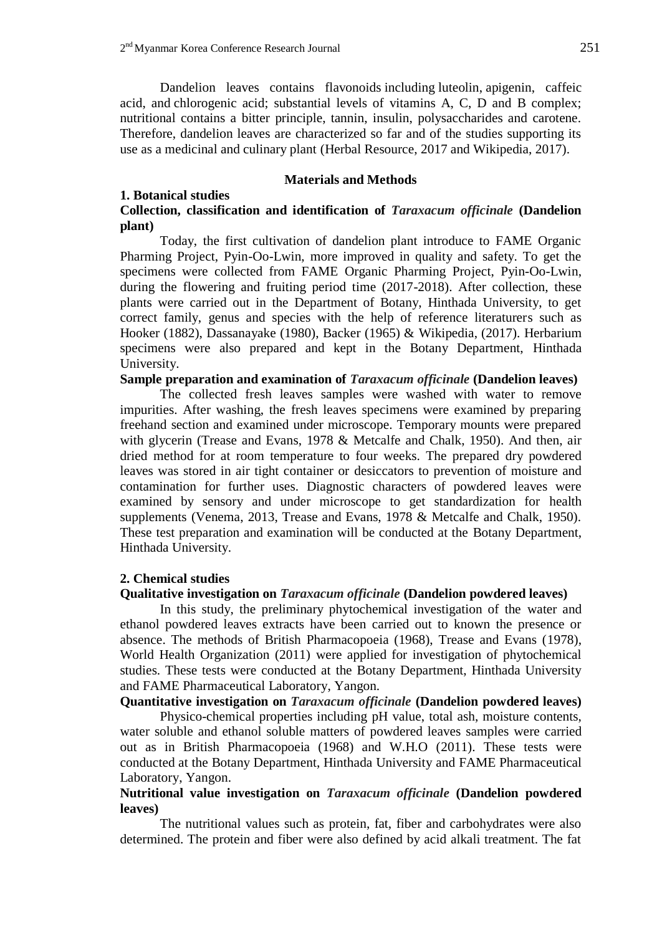Dandelion leaves contains [flavonoids](https://en.wikipedia.org/wiki/Flavonoids) including [luteolin,](https://en.wikipedia.org/wiki/Luteolin) [apigenin,](https://en.wikipedia.org/wiki/Apigenin) [caffeic](https://en.wikipedia.org/wiki/Caffeic_acid)  [acid,](https://en.wikipedia.org/wiki/Caffeic_acid) and [chlorogenic acid;](https://en.wikipedia.org/wiki/Chlorogenic_acid) substantial levels of vitamins A, C, D and B complex; nutritional contains a bitter principle, tannin, insulin, polysaccharides and carotene. Therefore, dandelion leaves are characterized so far and of the studies supporting its use as a medicinal and culinary plant (Herbal Resource, 2017 and Wikipedia, 2017).

## **Materials and Methods**

# **1. Botanical studies**

# **Collection, classification and identification of** *Taraxacum officinale* **(Dandelion plant)**

Today, the first cultivation of dandelion plant introduce to FAME Organic Pharming Project, Pyin-Oo-Lwin, more improved in quality and safety. To get the specimens were collected from FAME Organic Pharming Project, Pyin-Oo-Lwin, during the flowering and fruiting period time (2017-2018). After collection, these plants were carried out in the Department of Botany, Hinthada University, to get correct family, genus and species with the help of reference literaturers such as Hooker (1882), Dassanayake (1980), Backer (1965) & Wikipedia, (2017). Herbarium specimens were also prepared and kept in the Botany Department, Hinthada University.

## **Sample preparation and examination of** *Taraxacum officinale* **(Dandelion leaves)**

The collected fresh leaves samples were washed with water to remove impurities. After washing, the fresh leaves specimens were examined by preparing freehand section and examined under microscope. Temporary mounts were prepared with glycerin (Trease and Evans, 1978 & Metcalfe and Chalk, 1950). And then, air dried method for at room temperature to four weeks. The prepared dry powdered leaves was stored in air tight container or desiccators to prevention of moisture and contamination for further uses. Diagnostic characters of powdered leaves were examined by sensory and under microscope to get standardization for health supplements (Venema, 2013, Trease and Evans, 1978 & Metcalfe and Chalk, 1950). These test preparation and examination will be conducted at the Botany Department, Hinthada University.

# **2. Chemical studies**

# **Qualitative investigation on** *Taraxacum officinale* **(Dandelion powdered leaves)**

In this study, the preliminary phytochemical investigation of the water and ethanol powdered leaves extracts have been carried out to known the presence or absence. The methods of British Pharmacopoeia (1968), Trease and Evans (1978), World Health Organization (2011) were applied for investigation of phytochemical studies. These tests were conducted at the Botany Department, Hinthada University and FAME Pharmaceutical Laboratory, Yangon.

**Quantitative investigation on** *Taraxacum officinale* **(Dandelion powdered leaves)** 

Physico-chemical properties including pH value, total ash, moisture contents, water soluble and ethanol soluble matters of powdered leaves samples were carried out as in British Pharmacopoeia (1968) and W.H.O (2011). These tests were conducted at the Botany Department, Hinthada University and FAME Pharmaceutical Laboratory, Yangon.

# **Nutritional value investigation on** *Taraxacum officinale* **(Dandelion powdered leaves)**

The nutritional values such as protein, fat, fiber and carbohydrates were also determined. The protein and fiber were also defined by acid alkali treatment. The fat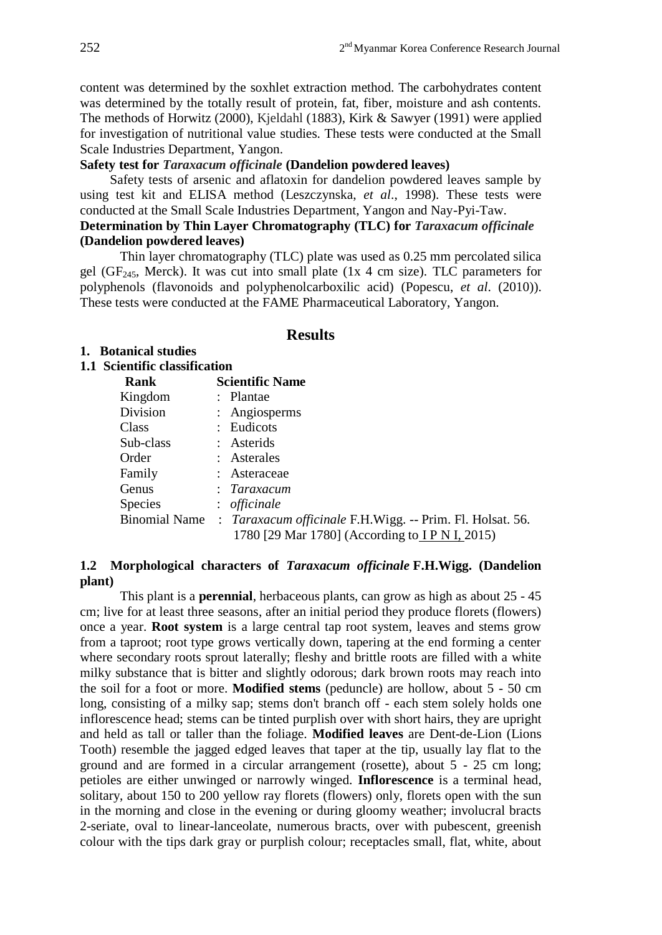content was determined by the soxhlet extraction method. The carbohydrates content was determined by the totally result of protein, fat, fiber, moisture and ash contents. The methods of Horwitz (2000), Kjeldahl (1883), Kirk & Sawyer (1991) were applied for investigation of nutritional value studies. These tests were conducted at the Small Scale Industries Department, Yangon.

# **Safety test for** *Taraxacum officinale* **(Dandelion powdered leaves)**

Safety tests of arsenic and aflatoxin for dandelion powdered leaves sample by using test kit and ELISA method (Leszczynska, *et al*., 1998). These tests were conducted at the Small Scale Industries Department, Yangon and Nay-Pyi-Taw.

# **Determination by Thin Layer Chromatography (TLC) for** *Taraxacum officinale* **(Dandelion powdered leaves)**

Thin layer chromatography (TLC) plate was used as 0.25 mm percolated silica gel (GF<sub>245</sub>, Merck). It was cut into small plate (1x 4 cm size). TLC parameters for polyphenols (flavonoids and polyphenolcarboxilic acid) (Popescu, *et al*. (2010)). These tests were conducted at the FAME Pharmaceutical Laboratory, Yangon.

# **1. Botanical studies**

# **Results**

## **1.1 Scientific classification**

| Rank           | <b>Scientific Name</b>                                                  |
|----------------|-------------------------------------------------------------------------|
| Kingdom        | : Plantae                                                               |
| Division       | : Angiosperms                                                           |
| Class          | : Eudicots                                                              |
| Sub-class      | : Asterids                                                              |
| Order          | : Asterales                                                             |
| Family         | : Asteraceae                                                            |
| Genus          | : Taraxacum                                                             |
| <b>Species</b> | $:$ officinale                                                          |
|                | Binomial Name : Taraxacum officinale F.H.Wigg. -- Prim. Fl. Holsat. 56. |
|                | 1780 [29 Mar 1780] (According to IP N I, 2015)                          |

# **1.2 Morphological characters of** *[Taraxacum officinale](http://www.ipni.org/ipni/idPlantNameSearch.do?id=254151-1&back_page=%2Fipni%2FeditSimplePlantNameSearch.do%3Ffind_wholeName%3DTaraxacum%2Bofficinale%2B%26output_format%3Dnormal)* **F.H.Wigg. (Dandelion plant)**

This plant is a **perennial**, herbaceous plants, can grow as high as about 25 - 45 cm; live for at least three seasons, after an initial period they produce florets (flowers) once a year. **Root system** is a large central tap root system, leaves and stems grow from a taproot; root type grows vertically down, tapering at the end forming a center where secondary roots sprout laterally; fleshy and brittle roots are filled with a white milky substance that is bitter and slightly odorous; dark brown roots may reach into the soil for a foot or more. **Modified stems** (peduncle) are hollow, about 5 - 50 cm long, consisting of a milky sap; stems don't branch off - each stem solely holds one inflorescence head; stems can be tinted purplish over with short hairs, they are upright and held as tall or taller than the foliage. **Modified leaves** are Dent-de-Lion (Lions Tooth) resemble the jagged edged leaves that taper at the tip, usually lay flat to the ground and are formed in a circular arrangement (rosette), about 5 - 25 cm long; petioles are either unwinged or narrowly winged. **Inflorescence** is a terminal head, solitary, about 150 to 200 yellow ray florets (flowers) only, florets open with the sun in the morning and close in the evening or during gloomy weather; involucral bracts 2-seriate, oval to linear-lanceolate, numerous bracts, over with pubescent, greenish colour with the tips dark gray or purplish colour; receptacles small, flat, white, about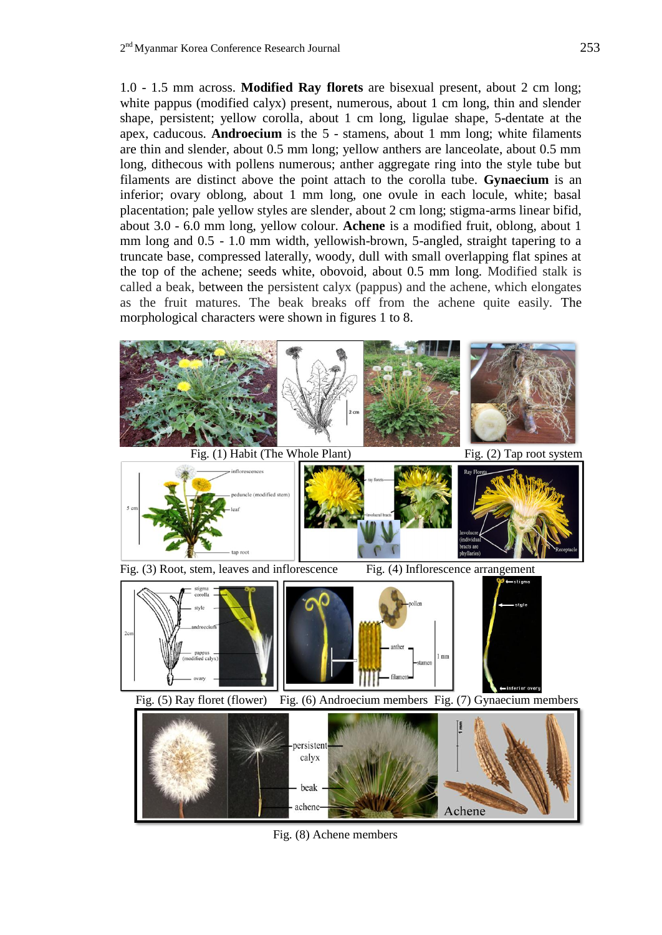1.0 - 1.5 mm across. **Modified Ray florets** are bisexual present, about 2 cm long; white pappus (modified calyx) present, numerous, about 1 cm long, thin and slender shape, persistent; yellow corolla, about 1 cm long, ligulae shape, 5-dentate at the apex, caducous. **Androecium** is the 5 - stamens, about 1 mm long; white filaments are thin and slender, about 0.5 mm long; yellow anthers are lanceolate, about 0.5 mm long, dithecous with pollens numerous; anther aggregate ring into the style tube but filaments are distinct above the point attach to the corolla tube. **Gynaecium** is an inferior; ovary oblong, about 1 mm long, one ovule in each locule, white; basal placentation; pale yellow styles are slender, about 2 cm long; stigma-arms linear bifid, about 3.0 - 6.0 mm long, yellow colour. **Achene** is a modified fruit, oblong, about 1 mm long and 0.5 - 1.0 mm width, yellowish-brown, 5-angled, straight tapering to a truncate base, compressed laterally, woody, dull with small overlapping flat spines at the top of the achene; seeds white, obovoid, about 0.5 mm long. Modified stalk is called a beak, between the persistent calyx (pappus) and the achene, which elongates as the fruit matures. The beak breaks off from the achene quite easily. The morphological characters were shown in figures 1 to 8.



Fig. (8) Achene members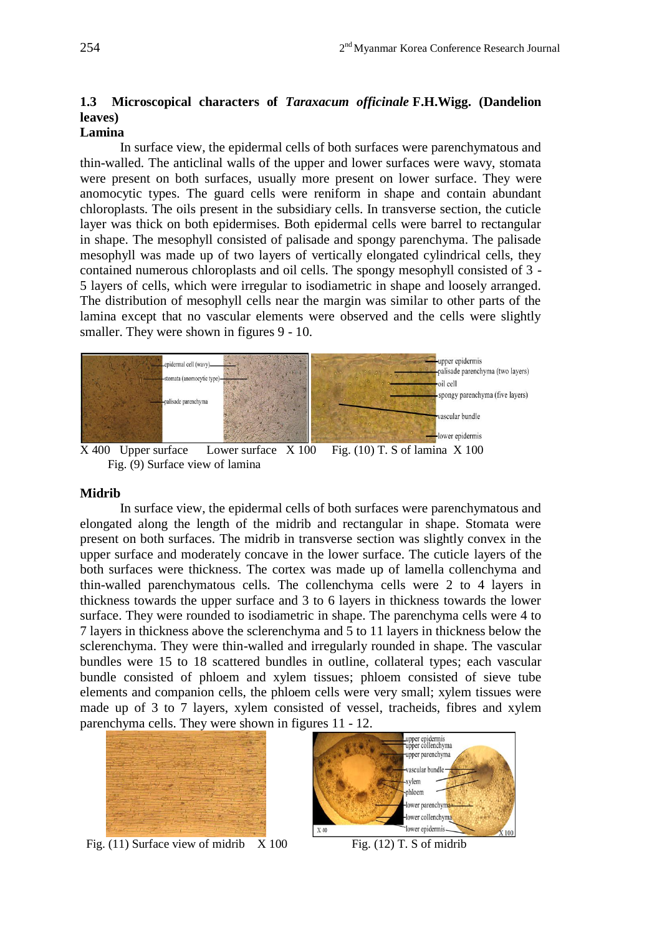# **1.3 Microscopical characters of** *[Taraxacum officinale](http://www.ipni.org/ipni/idPlantNameSearch.do?id=254151-1&back_page=%2Fipni%2FeditSimplePlantNameSearch.do%3Ffind_wholeName%3DTaraxacum%2Bofficinale%2B%26output_format%3Dnormal)* **F.H.Wigg. (Dandelion leaves)**

# **Lamina**

In surface view, the epidermal cells of both surfaces were parenchymatous and thin-walled. The anticlinal walls of the upper and lower surfaces were wavy, stomata were present on both surfaces, usually more present on lower surface. They were anomocytic types. The guard cells were reniform in shape and contain abundant chloroplasts. The oils present in the subsidiary cells. In transverse section, the cuticle layer was thick on both epidermises. Both epidermal cells were barrel to rectangular in shape. The mesophyll consisted of palisade and spongy parenchyma. The palisade mesophyll was made up of two layers of vertically elongated cylindrical cells, they contained numerous chloroplasts and oil cells. The spongy mesophyll consisted of 3 - 5 layers of cells, which were irregular to isodiametric in shape and loosely arranged. The distribution of mesophyll cells near the margin was similar to other parts of the lamina except that no vascular elements were observed and the cells were slightly smaller. They were shown in figures 9 - 10.



Fig. (9) Surface view of lamina

## **Midrib**

In surface view, the epidermal cells of both surfaces were parenchymatous and elongated along the length of the midrib and rectangular in shape. Stomata were present on both surfaces. The midrib in transverse section was slightly convex in the upper surface and moderately concave in the lower surface. The cuticle layers of the both surfaces were thickness. The cortex was made up of lamella collenchyma and thin-walled parenchymatous cells. The collenchyma cells were 2 to 4 layers in thickness towards the upper surface and 3 to 6 layers in thickness towards the lower surface. They were rounded to isodiametric in shape. The parenchyma cells were 4 to 7 layers in thickness above the sclerenchyma and 5 to 11 layers in thickness below the sclerenchyma. They were thin-walled and irregularly rounded in shape. The vascular bundles were 15 to 18 scattered bundles in outline, collateral types; each vascular bundle consisted of phloem and xylem tissues; phloem consisted of sieve tube elements and companion cells, the phloem cells were very small; xylem tissues were made up of 3 to 7 layers, xylem consisted of vessel, tracheids, fibres and xylem parenchyma cells. They were shown in figures 11 - 12.



Fig.  $(11)$  Surface view of midrib  $X 100$  Fig.  $(12)$  T. S of midrib

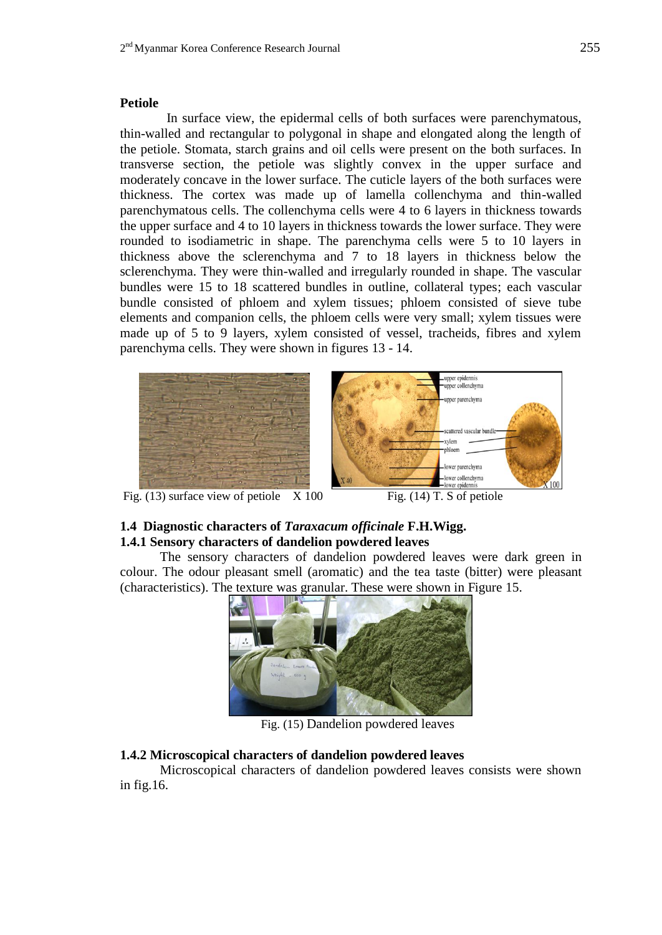## **Petiole**

In surface view, the epidermal cells of both surfaces were parenchymatous, thin-walled and rectangular to polygonal in shape and elongated along the length of the petiole. Stomata, starch grains and oil cells were present on the both surfaces. In transverse section, the petiole was slightly convex in the upper surface and moderately concave in the lower surface. The cuticle layers of the both surfaces were thickness. The cortex was made up of lamella collenchyma and thin-walled parenchymatous cells. The collenchyma cells were 4 to 6 layers in thickness towards the upper surface and 4 to 10 layers in thickness towards the lower surface. They were rounded to isodiametric in shape. The parenchyma cells were 5 to 10 layers in thickness above the sclerenchyma and 7 to 18 layers in thickness below the sclerenchyma. They were thin-walled and irregularly rounded in shape. The vascular bundles were 15 to 18 scattered bundles in outline, collateral types; each vascular bundle consisted of phloem and xylem tissues; phloem consisted of sieve tube elements and companion cells, the phloem cells were very small; xylem tissues were made up of 5 to 9 layers, xylem consisted of vessel, tracheids, fibres and xylem parenchyma cells. They were shown in figures 13 - 14.





X 100 Fig.  $(13)$  surface view of petiole  $X 100$  Fig.  $(14)$  T. S of petiole

# **1.4 Diagnostic characters of** *[Taraxacum officinale](http://www.ipni.org/ipni/idPlantNameSearch.do?id=254151-1&back_page=%2Fipni%2FeditSimplePlantNameSearch.do%3Ffind_wholeName%3DTaraxacum%2Bofficinale%2B%26output_format%3Dnormal)* **F.H.Wigg. 1.4.1 Sensory characters of dandelion powdered leaves**

The sensory characters of dandelion powdered leaves were dark green in colour. The odour pleasant smell (aromatic) and the tea taste (bitter) were pleasant (characteristics). The texture was granular. These were shown in Figure 15.



Fig. (15) Dandelion powdered leaves

# **1.4.2 Microscopical characters of dandelion powdered leaves**

Microscopical characters of dandelion powdered leaves consists were shown in fig.16.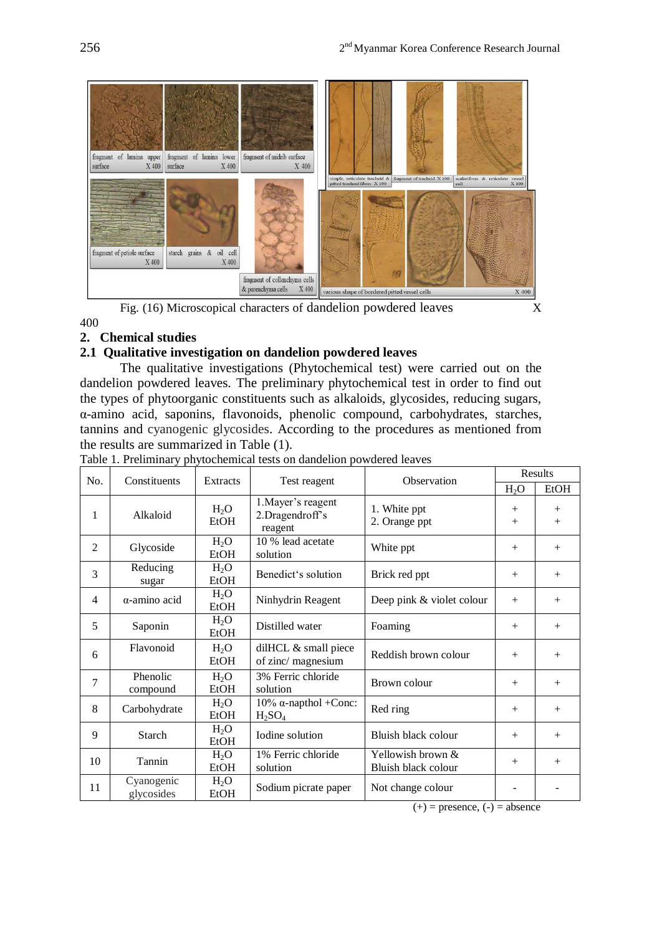

Fig. (16) Microscopical characters of dandelion powdered leaves X

# **2. Chemical studies**

400

# **2.1 Qualitative investigation on dandelion powdered leaves**

The qualitative investigations (Phytochemical test) were carried out on the dandelion powdered leaves*.* The preliminary phytochemical test in order to find out the types of phytoorganic constituents such as alkaloids, glycosides, reducing sugars, α-amino acid, saponins, flavonoids, phenolic compound, carbohydrates, starches, tannins and cyanogenic glycosides. According to the procedures as mentioned from the results are summarized in Table (1).

| No.<br>Constituents |                          | Extracts                        |                                                         | Observation                                | Results          |               |
|---------------------|--------------------------|---------------------------------|---------------------------------------------------------|--------------------------------------------|------------------|---------------|
|                     |                          |                                 | Test reagent                                            |                                            | $H_2O$           | <b>EtOH</b>   |
| 1                   | Alkaloid                 | $H_2O$<br>EtOH                  | 1. Mayer's reagent<br>2.Dragendroff's<br>reagent        | 1. White ppt<br>2. Orange ppt              | $^{+}$<br>$^{+}$ | $^{+}$<br>$+$ |
| $\overline{2}$      | Glycoside                | $H_2O$<br><b>EtOH</b>           | 10 % lead acetate<br>solution                           | White ppt                                  | $^{+}$           | $+$           |
| 3                   | Reducing<br>sugar        | $H_2O$<br><b>EtOH</b>           | Benedict's solution                                     | Brick red ppt                              | $^{+}$           | $^{+}$        |
| $\overline{4}$      | α-amino acid             | $H_2O$<br>EtOH                  | Ninhydrin Reagent                                       | Deep pink & violet colour                  | $^{+}$           | $^{+}$        |
| 5                   | Saponin                  | $H_2O$<br><b>EtOH</b>           | Distilled water                                         | Foaming                                    | $^{+}$           | $+$           |
| 6                   | Flavonoid                | $H_2O$<br>EtOH                  | dilHCL & small piece<br>of zinc/ magnesium              | Reddish brown colour                       | $^{+}$           | $+$           |
| 7                   | Phenolic<br>compound     | H <sub>2</sub> O<br><b>EtOH</b> | 3% Ferric chloride<br>solution                          | Brown colour                               | $^{+}$           | $+$           |
| 8                   | Carbohydrate             | $H_2O$<br><b>EtOH</b>           | 10% α-napthol + Conc:<br>H <sub>2</sub> SO <sub>4</sub> | Red ring                                   | $^{+}$           | $+$           |
| 9                   | <b>Starch</b>            | $H_2O$<br>EtOH                  | Iodine solution                                         | Bluish black colour                        | $^{+}$           | $+$           |
| 10                  | Tannin                   | $H_2O$<br><b>EtOH</b>           | 1% Ferric chloride<br>solution                          | Yellowish brown $&$<br>Bluish black colour | $^{+}$           | $+$           |
| 11                  | Cyanogenic<br>glycosides | $H_2O$<br><b>EtOH</b>           | Sodium picrate paper                                    | Not change colour                          |                  |               |

Table 1. Preliminary phytochemical tests on dandelion powdered leaves

 $(+)$  = presence,  $(-)$  = absence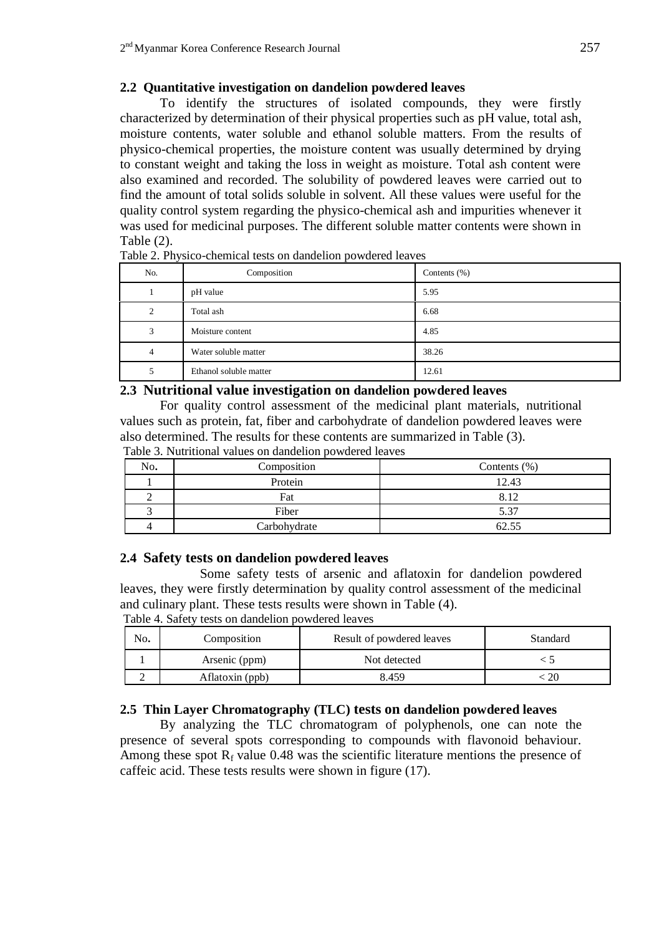# **2.2 Quantitative investigation on dandelion powdered leaves**

To identify the structures of isolated compounds, they were firstly characterized by determination of their physical properties such as pH value, total ash, moisture contents, water soluble and ethanol soluble matters. From the results of physico-chemical properties, the moisture content was usually determined by drying to constant weight and taking the loss in weight as moisture. Total ash content were also examined and recorded. The solubility of powdered leaves were carried out to find the amount of total solids soluble in solvent. All these values were useful for the quality control system regarding the physico-chemical ash and impurities whenever it was used for medicinal purposes. The different soluble matter contents were shown in Table (2).

| No.            | Composition            | Contents $(\%)$ |
|----------------|------------------------|-----------------|
|                | pH value               | 5.95            |
| 2              | Total ash              | 6.68            |
| 3              | Moisture content       | 4.85            |
| $\overline{4}$ | Water soluble matter   | 38.26           |
|                | Ethanol soluble matter | 12.61           |

Table 2. Physico-chemical tests on dandelion powdered leaves

## **2.3 Nutritional value investigation on dandelion powdered leaves**

For quality control assessment of the medicinal plant materials, nutritional values such as protein, fat, fiber and carbohydrate of dandelion powdered leaves were also determined. The results for these contents are summarized in Table (3).

| Table 3. Nutritional values on dandelion powdered leaves |  |  |  |
|----------------------------------------------------------|--|--|--|
|                                                          |  |  |  |

| No. | Composition  | Contents $(\%)$ |
|-----|--------------|-----------------|
|     | Protein      | 12.43           |
|     | Fat          | 8.12            |
|     | Fiber        | 5.37            |
|     | Carbohydrate | 62.55           |

## **2.4 Safety tests on dandelion powdered leaves**

Some safety tests of arsenic and aflatoxin for dandelion powdered leaves, they were firstly determination by quality control assessment of the medicinal and culinary plant. These tests results were shown in Table (4). Table 4. Safety tests on dandelion powdered leaves

| No. | Composition     | Result of powdered leaves | Standard |
|-----|-----------------|---------------------------|----------|
|     | Arsenic (ppm)   | Not detected              |          |
|     | Aflatoxin (ppb) | 8.459                     |          |

# **2.5 Thin Layer Chromatography (TLC) tests on dandelion powdered leaves**

By analyzing the TLC chromatogram of polyphenols, one can note the presence of several spots corresponding to compounds with flavonoid behaviour. Among these spot  $R_f$  value 0.48 was the scientific literature mentions the presence of caffeic acid. These tests results were shown in figure (17).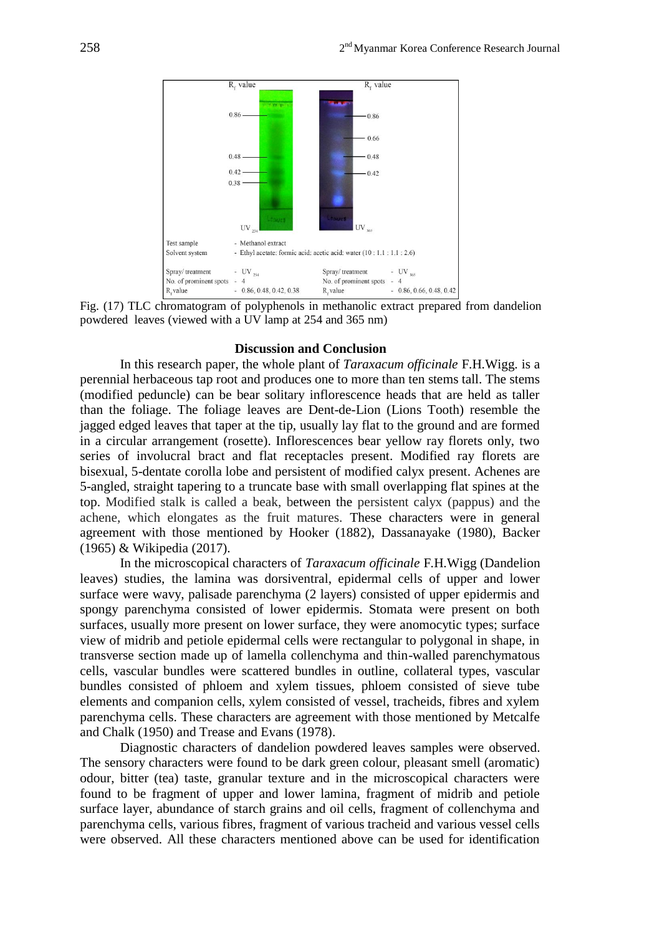

Fig. (17) TLC chromatogram of polyphenols in methanolic extract prepared from dandelion powdered leaves (viewed with a UV lamp at 254 and 365 nm)

## **Discussion and Conclusion**

In this research paper, the whole plant of *Taraxacum officinale* F.H.Wigg. is a perennial herbaceous tap root and produces one to more than ten stems tall. The stems (modified peduncle) can be bear solitary inflorescence heads that are held as taller than the foliage. The foliage leaves are Dent-de-Lion (Lions Tooth) resemble the jagged edged leaves that taper at the tip, usually lay flat to the ground and are formed in a circular arrangement (rosette). Inflorescences bear yellow ray florets only, two series of involucral bract and flat receptacles present. Modified ray florets are bisexual, 5-dentate corolla lobe and persistent of modified calyx present. Achenes are 5-angled, straight tapering to a truncate base with small overlapping flat spines at the top. Modified stalk is called a beak, between the persistent calyx (pappus) and the achene, which elongates as the fruit matures. These characters were in general agreement with those mentioned by Hooker (1882), Dassanayake (1980), Backer (1965) & Wikipedia (2017).

In the microscopical characters of *Taraxacum officinale* F.H.Wigg (Dandelion leaves) studies, the lamina was dorsiventral, epidermal cells of upper and lower surface were wavy, palisade parenchyma (2 layers) consisted of upper epidermis and spongy parenchyma consisted of lower epidermis. Stomata were present on both surfaces, usually more present on lower surface, they were anomocytic types; surface view of midrib and petiole epidermal cells were rectangular to polygonal in shape, in transverse section made up of lamella collenchyma and thin-walled parenchymatous cells, vascular bundles were scattered bundles in outline, collateral types, vascular bundles consisted of phloem and xylem tissues, phloem consisted of sieve tube elements and companion cells, xylem consisted of vessel, tracheids, fibres and xylem parenchyma cells. These characters are agreement with those mentioned by Metcalfe and Chalk (1950) and Trease and Evans (1978).

Diagnostic characters of dandelion powdered leaves samples were observed. The sensory characters were found to be dark green colour, pleasant smell (aromatic) odour, bitter (tea) taste, granular texture and in the microscopical characters were found to be fragment of upper and lower lamina, fragment of midrib and petiole surface layer, abundance of starch grains and oil cells, fragment of collenchyma and parenchyma cells, various fibres, fragment of various tracheid and various vessel cells were observed. All these characters mentioned above can be used for identification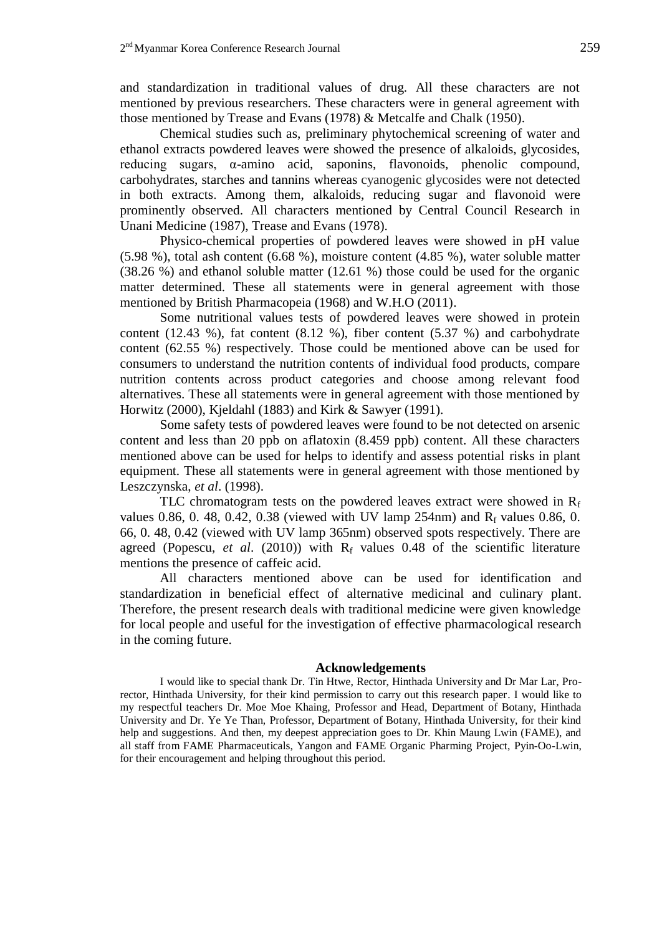and standardization in traditional values of drug. All these characters are not mentioned by previous researchers. These characters were in general agreement with those mentioned by Trease and Evans (1978) & Metcalfe and Chalk (1950).

Chemical studies such as, preliminary phytochemical screening of water and ethanol extracts powdered leaves were showed the presence of alkaloids, glycosides, reducing sugars, α-amino acid, saponins, flavonoids, phenolic compound, carbohydrates, starches and tannins whereas cyanogenic glycosides were not detected in both extracts. Among them, alkaloids, reducing sugar and flavonoid were prominently observed. All characters mentioned by Central Council Research in Unani Medicine (1987), Trease and Evans (1978).

Physico-chemical properties of powdered leaves were showed in pH value (5.98 %), total ash content (6.68 %), moisture content (4.85 %), water soluble matter (38.26 %) and ethanol soluble matter (12.61 %) those could be used for the organic matter determined. These all statements were in general agreement with those mentioned by British Pharmacopeia (1968) and W.H.O (2011).

Some nutritional values tests of powdered leaves were showed in protein content (12.43 %), fat content (8.12 %), fiber content (5.37 %) and carbohydrate content (62.55 %) respectively. Those could be mentioned above can be used for consumers to understand the nutrition contents of individual food products, compare nutrition contents across product categories and choose among relevant food alternatives. These all statements were in general agreement with those mentioned by Horwitz (2000), Kjeldahl (1883) and Kirk & Sawyer (1991).

Some safety tests of powdered leaves were found to be not detected on arsenic content and less than 20 ppb on aflatoxin (8.459 ppb) content. All these characters mentioned above can be used for helps to identify and assess potential risks in plant equipment. These all statements were in general agreement with those mentioned by Leszczynska, *et al*. (1998).

TLC chromatogram tests on the powdered leaves extract were showed in  $R_f$ values 0.86, 0. 48, 0.42, 0.38 (viewed with UV lamp 254nm) and  $R_f$  values 0.86, 0. 66, 0. 48, 0.42 (viewed with UV lamp 365nm) observed spots respectively. There are agreed (Popescu, *et al*. (2010)) with R<sup>f</sup> values 0.48 of the scientific literature mentions the presence of caffeic acid.

All characters mentioned above can be used for identification and standardization in beneficial effect of alternative medicinal and culinary plant. Therefore, the present research deals with traditional medicine were given knowledge for local people and useful for the investigation of effective pharmacological research in the coming future.

### **Acknowledgements**

I would like to special thank Dr. Tin Htwe, Rector, Hinthada University and Dr Mar Lar, Prorector, Hinthada University, for their kind permission to carry out this research paper. I would like to my respectful teachers Dr. Moe Moe Khaing, Professor and Head, Department of Botany, Hinthada University and Dr. Ye Ye Than, Professor, Department of Botany, Hinthada University, for their kind help and suggestions. And then, my deepest appreciation goes to Dr. Khin Maung Lwin (FAME), and all staff from FAME Pharmaceuticals, Yangon and FAME Organic Pharming Project, Pyin-Oo-Lwin, for their encouragement and helping throughout this period.